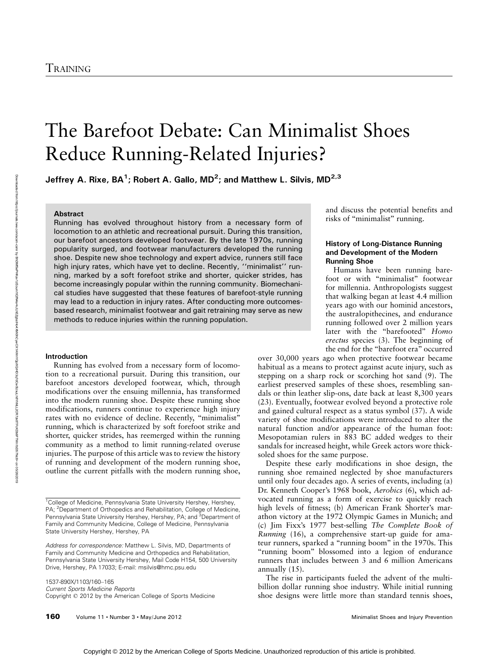# The Barefoot Debate: Can Minimalist Shoes Reduce Running-Related Injuries?

Jeffrey A. Rixe, BA $^1$ ; Robert A. Gallo, MD $^2$ ; and Matthew L. Silvis, MD $^{2,3}$ 

## **Abstract**

Running has evolved throughout history from a necessary form of locomotion to an athletic and recreational pursuit. During this transition, our barefoot ancestors developed footwear. By the late 1970s, running popularity surged, and footwear manufacturers developed the running shoe. Despite new shoe technology and expert advice, runners still face high injury rates, which have yet to decline. Recently, ''minimalist'' running, marked by a soft forefoot strike and shorter, quicker strides, has become increasingly popular within the running community. Biomechanical studies have suggested that these features of barefoot-style running may lead to a reduction in injury rates. After conducting more outcomesbased research, minimalist footwear and gait retraining may serve as new methods to reduce injuries within the running population.

# Introduction

Running has evolved from a necessary form of locomotion to a recreational pursuit. During this transition, our barefoot ancestors developed footwear, which, through modifications over the ensuing millennia, has transformed into the modern running shoe. Despite these running shoe modifications, runners continue to experience high injury rates with no evidence of decline. Recently, "minimalist" running, which is characterized by soft forefoot strike and shorter, quicker strides, has reemerged within the running community as a method to limit running-related overuse injuries. The purpose of this article was to review the history of running and development of the modern running shoe, outline the current pitfalls with the modern running shoe,

1537-890X/1103/160-165 Current Sports Medicine Reports Copyright @ 2012 by the American College of Sports Medicine

160 Volume 11 • Number 3 • May/June 2012 Minimalist Shoes and Injury Prevention

and discuss the potential benefits and risks of "minimalist" running.

# History of Long-Distance Running and Development of the Modern Running Shoe

Humans have been running barefoot or with "minimalist" footwear for millennia. Anthropologists suggest that walking began at least 4.4 million years ago with our hominid ancestors, the australopithecines, and endurance running followed over 2 million years later with the "barefooted" Homo erectus species (3). The beginning of the end for the ''barefoot era'' occurred

over 30,000 years ago when protective footwear became habitual as a means to protect against acute injury, such as stepping on a sharp rock or scorching hot sand (9). The earliest preserved samples of these shoes, resembling sandals or thin leather slip-ons, date back at least 8,300 years (23). Eventually, footwear evolved beyond a protective role and gained cultural respect as a status symbol (37). A wide variety of shoe modifications were introduced to alter the natural function and/or appearance of the human foot: Mesopotamian rulers in 883 BC added wedges to their sandals for increased height, while Greek actors wore thicksoled shoes for the same purpose.

Despite these early modifications in shoe design, the running shoe remained neglected by shoe manufacturers until only four decades ago. A series of events, including (a) Dr. Kenneth Cooper's 1968 book, Aerobics (6), which advocated running as a form of exercise to quickly reach high levels of fitness; (b) American Frank Shorter's marathon victory at the 1972 Olympic Games in Munich; and (c) Jim Fixx's 1977 best-selling The Complete Book of Running (16), a comprehensive start-up guide for amateur runners, sparked a ''running boom'' in the 1970s. This ''running boom'' blossomed into a legion of endurance runners that includes between 3 and 6 million Americans annually (15).

The rise in participants fueled the advent of the multibillion dollar running shoe industry. While initial running shoe designs were little more than standard tennis shoes,

<sup>&</sup>lt;sup>1</sup>College of Medicine, Pennsylvania State University Hershey, Hershey, PA; <sup>2</sup>Department of Orthopedics and Rehabilitation, College of Medicine, Pennsylvania State University Hershey, Hershey, PA; and <sup>3</sup>Department of Family and Community Medicine, College of Medicine, Pennsylvania State University Hershey, Hershey, PA

Address for correspondence: Matthew L. Silvis, MD, Departments of Family and Community Medicine and Orthopedics and Rehabilitation, Pennsylvania State University Hershey, Mail Code H154, 500 University Drive, Hershey, PA 17033; E-mail: msilvis@hmc.psu.edu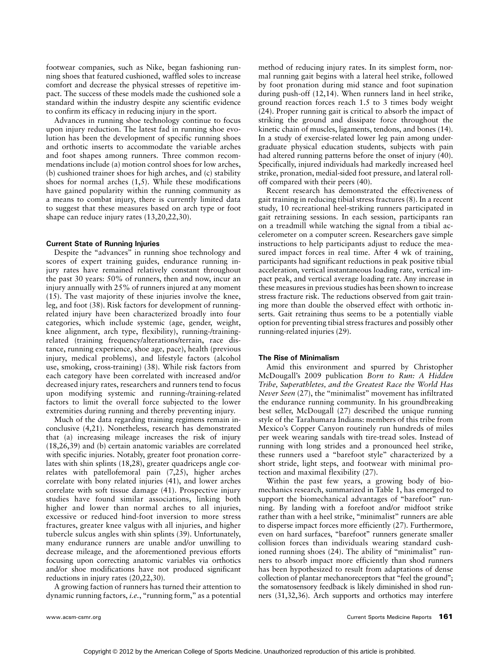footwear companies, such as Nike, began fashioning running shoes that featured cushioned, waffled soles to increase comfort and decrease the physical stresses of repetitive impact. The success of these models made the cushioned sole a standard within the industry despite any scientific evidence to confirm its efficacy in reducing injury in the sport.

Advances in running shoe technology continue to focus upon injury reduction. The latest fad in running shoe evolution has been the development of specific running shoes and orthotic inserts to accommodate the variable arches and foot shapes among runners. Three common recommendations include (a) motion control shoes for low arches, (b) cushioned trainer shoes for high arches, and (c) stability shoes for normal arches (1,5). While these modifications have gained popularity within the running community as a means to combat injury, there is currently limited data to suggest that these measures based on arch type or foot shape can reduce injury rates (13,20,22,30).

# Current State of Running Injuries

Despite the "advances" in running shoe technology and scores of expert training guides, endurance running injury rates have remained relatively constant throughout the past 30 years: 50% of runners, then and now, incur an injury annually with 25% of runners injured at any moment (15). The vast majority of these injuries involve the knee, leg, and foot (38). Risk factors for development of runningrelated injury have been characterized broadly into four categories, which include systemic (age, gender, weight, knee alignment, arch type, flexibility), running-/trainingrelated (training frequency/alterations/terrain, race distance, running experience, shoe age, pace), health (previous injury, medical problems), and lifestyle factors (alcohol use, smoking, cross-training) (38). While risk factors from each category have been correlated with increased and/or decreased injury rates, researchers and runners tend to focus upon modifying systemic and running-/training-related factors to limit the overall force subjected to the lower extremities during running and thereby preventing injury.

Much of the data regarding training regimens remain inconclusive (4,21). Nonetheless, research has demonstrated that (a) increasing mileage increases the risk of injury (18,26,39) and (b) certain anatomic variables are correlated with specific injuries. Notably, greater foot pronation correlates with shin splints (18,28), greater quadriceps angle correlates with patellofemoral pain (7,25), higher arches correlate with bony related injuries (41), and lower arches correlate with soft tissue damage (41). Prospective injury studies have found similar associations, linking both higher and lower than normal arches to all injuries, excessive or reduced hind-foot inversion to more stress fractures, greater knee valgus with all injuries, and higher tubercle sulcus angles with shin splints (39). Unfortunately, many endurance runners are unable and/or unwilling to decrease mileage, and the aforementioned previous efforts focusing upon correcting anatomic variables via orthotics and/or shoe modifications have not produced significant reductions in injury rates (20,22,30).

A growing faction of runners has turned their attention to dynamic running factors, i.e., "running form," as a potential method of reducing injury rates. In its simplest form, normal running gait begins with a lateral heel strike, followed by foot pronation during mid stance and foot supination during push-off (12,14). When runners land in heel strike, ground reaction forces reach 1.5 to 3 times body weight (24). Proper running gait is critical to absorb the impact of striking the ground and dissipate force throughout the kinetic chain of muscles, ligaments, tendons, and bones (14). In a study of exercise-related lower leg pain among undergraduate physical education students, subjects with pain had altered running patterns before the onset of injury (40). Specifically, injured individuals had markedly increased heel strike, pronation, medial-sided foot pressure, and lateral rolloff compared with their peers (40).

Recent research has demonstrated the effectiveness of gait training in reducing tibial stress fractures (8). In a recent study, 10 recreational heel-striking runners participated in gait retraining sessions. In each session, participants ran on a treadmill while watching the signal from a tibial accelerometer on a computer screen. Researchers gave simple instructions to help participants adjust to reduce the measured impact forces in real time. After 4 wk of training, participants had significant reductions in peak positive tibial acceleration, vertical instantaneous loading rate, vertical impact peak, and vertical average loading rate. Any increase in these measures in previous studies has been shown to increase stress fracture risk. The reductions observed from gait training more than double the observed effect with orthotic inserts. Gait retraining thus seems to be a potentially viable option for preventing tibial stress fractures and possibly other running-related injuries (29).

## The Rise of Minimalism

Amid this environment and spurred by Christopher McDougall's 2009 publication Born to Run: A Hidden Tribe, Superathletes, and the Greatest Race the World Has Never Seen (27), the "minimalist" movement has infiltrated the endurance running community. In his groundbreaking best seller, McDougall (27) described the unique running style of the Tarahumara Indians: members of this tribe from Mexico's Copper Canyon routinely run hundreds of miles per week wearing sandals with tire-tread soles. Instead of running with long strides and a pronounced heel strike, these runners used a ''barefoot style'' characterized by a short stride, light steps, and footwear with minimal protection and maximal flexibility (27).

Within the past few years, a growing body of biomechanics research, summarized in Table 1, has emerged to support the biomechanical advantages of "barefoot" running. By landing with a forefoot and/or midfoot strike rather than with a heel strike, "minimalist" runners are able to disperse impact forces more efficiently (27). Furthermore, even on hard surfaces, ''barefoot'' runners generate smaller collision forces than individuals wearing standard cushioned running shoes (24). The ability of "minimalist" runners to absorb impact more efficiently than shod runners has been hypothesized to result from adaptations of dense collection of plantar mechanoreceptors that ''feel the ground''; the somatosensory feedback is likely diminished in shod runners (31,32,36). Arch supports and orthotics may interfere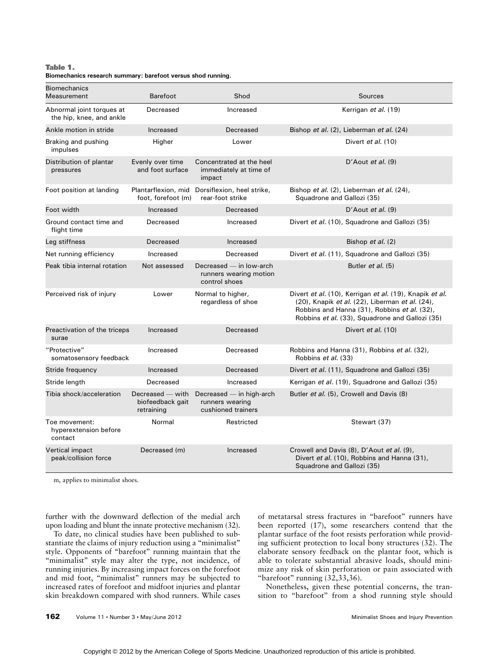### Table 1. Biomechanics research summary: barefoot versus shod running.

| <b>Biomechanics</b><br>Measurement                    | <b>Barefoot</b>                                    | Shod                                                               | Sources                                                                                                                                                                                                       |
|-------------------------------------------------------|----------------------------------------------------|--------------------------------------------------------------------|---------------------------------------------------------------------------------------------------------------------------------------------------------------------------------------------------------------|
| Abnormal joint torques at<br>the hip, knee, and ankle | Decreased                                          | Increased                                                          | Kerrigan et al. (19)                                                                                                                                                                                          |
| Ankle motion in stride                                | Increased                                          | Decreased                                                          | Bishop et al. (2), Lieberman et al. (24)                                                                                                                                                                      |
| Braking and pushing<br>impulses                       | Higher                                             | Lower                                                              | Divert et al. (10)                                                                                                                                                                                            |
| Distribution of plantar<br>pressures                  | Evenly over time<br>and foot surface               | Concentrated at the heel<br>immediately at time of<br>impact       | D'Aout et al. $(9)$                                                                                                                                                                                           |
| Foot position at landing                              | Plantarflexion, mid<br>foot, forefoot (m)          | Dorsiflexion, heel strike,<br>rear-foot strike                     | Bishop et al. (2), Lieberman et al. (24),<br>Squadrone and Gallozi (35)                                                                                                                                       |
| Foot width                                            | Increased                                          | Decreased                                                          | D'Aout et al. $(9)$                                                                                                                                                                                           |
| Ground contact time and<br>flight time                | Decreased                                          | Increased                                                          | Divert et al. (10), Squadrone and Gallozi (35)                                                                                                                                                                |
| Leg stiffness                                         | Decreased                                          | Increased                                                          | Bishop et al. (2)                                                                                                                                                                                             |
| Net running efficiency                                | Increased                                          | Decreased                                                          | Divert et al. (11), Squadrone and Gallozi (35)                                                                                                                                                                |
| Peak tibia internal rotation                          | Not assessed                                       | Decreased — in low-arch<br>runners wearing motion<br>control shoes | Butler <i>et al.</i> (5)                                                                                                                                                                                      |
| Perceived risk of injury                              | Lower                                              | Normal to higher,<br>regardless of shoe                            | Divert et al. (10), Kerrigan et al. (19), Knapik et al.<br>(20), Knapik et al. (22), Liberman et al. (24),<br>Robbins and Hanna (31), Robbins et al. (32),<br>Robbins et al. (33), Squadrone and Gallozi (35) |
| Preactivation of the triceps<br>surae                 | Increased                                          | Decreased                                                          | Divert et al. (10)                                                                                                                                                                                            |
| "Protective"<br>somatosensory feedback                | Increased                                          | Decreased                                                          | Robbins and Hanna (31), Robbins et al. (32),<br>Robbins et al. (33)                                                                                                                                           |
| Stride frequency                                      | Increased                                          | Decreased                                                          | Divert et al. (11), Squadrone and Gallozi (35)                                                                                                                                                                |
| Stride length                                         | Decreased                                          | Increased                                                          | Kerrigan et al. (19), Squadrone and Gallozi (35)                                                                                                                                                              |
| Tibia shock/acceleration                              | Decreased - with<br>biofeedback gait<br>retraining | Decreased - in high-arch<br>runners wearing<br>cushioned trainers  | Butler et al. (5), Crowell and Davis (8)                                                                                                                                                                      |
| Toe movement:<br>hyperextension before<br>contact     | Normal                                             | Restricted                                                         | Stewart (37)                                                                                                                                                                                                  |
| <b>Vertical impact</b><br>peak/collision force        | Decreased (m)                                      | Increased                                                          | Crowell and Davis (8), D'Aout et al. (9),<br>Divert et al. (10), Robbins and Hanna (31),<br>Squadrone and Gallozi (35)                                                                                        |

m, applies to minimalist shoes.

further with the downward deflection of the medial arch upon loading and blunt the innate protective mechanism (32).

To date, no clinical studies have been published to substantiate the claims of injury reduction using a ''minimalist'' style. Opponents of ''barefoot'' running maintain that the "minimalist" style may alter the type, not incidence, of running injuries. By increasing impact forces on the forefoot and mid foot, "minimalist" runners may be subjected to increased rates of forefoot and midfoot injuries and plantar skin breakdown compared with shod runners. While cases of metatarsal stress fractures in ''barefoot'' runners have been reported (17), some researchers contend that the plantar surface of the foot resists perforation while providing sufficient protection to local bony structures (32). The elaborate sensory feedback on the plantar foot, which is able to tolerate substantial abrasive loads, should minimize any risk of skin perforation or pain associated with "barefoot" running (32,33,36).

Nonetheless, given these potential concerns, the transition to "barefoot" from a shod running style should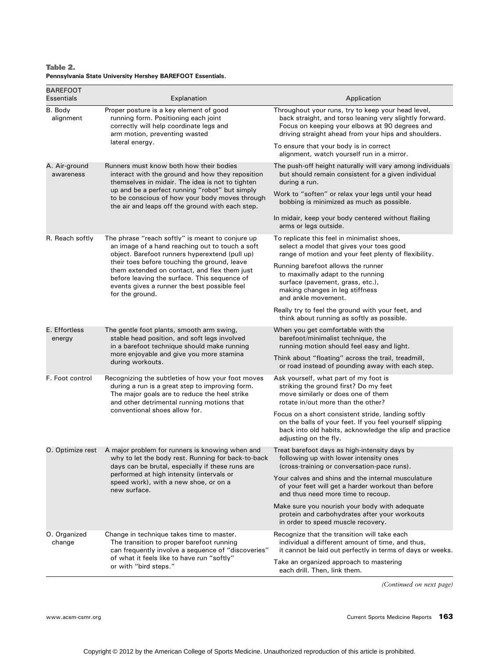Table 2. Pennsylvania State University Hershey BAREFOOT Essentials.

| <b>BAREFOOT</b><br>Essentials | Explanation                                                                                                                                                                                                     | Application                                                                                                                                                                                                             |
|-------------------------------|-----------------------------------------------------------------------------------------------------------------------------------------------------------------------------------------------------------------|-------------------------------------------------------------------------------------------------------------------------------------------------------------------------------------------------------------------------|
| B. Body<br>alignment          | Proper posture is a key element of good<br>running form. Positioning each joint<br>correctly will help coordinate legs and<br>arm motion, preventing wasted                                                     | Throughout your runs, try to keep your head level,<br>back straight, and torso leaning very slightly forward.<br>Focus on keeping your elbows at 90 degrees and<br>driving straight ahead from your hips and shoulders. |
|                               | lateral energy.                                                                                                                                                                                                 | To ensure that your body is in correct<br>alignment, watch yourself run in a mirror.                                                                                                                                    |
| A. Air-ground<br>awareness    | Runners must know both how their bodies<br>interact with the ground and how they reposition<br>themselves in midair. The idea is not to tighten<br>up and be a perfect running "robot" but simply               | The push-off height naturally will vary among individuals<br>but should remain consistent for a given individual<br>during a run.                                                                                       |
|                               | to be conscious of how your body moves through<br>the air and leaps off the ground with each step.                                                                                                              | Work to "soften" or relax your legs until your head<br>bobbing is minimized as much as possible.                                                                                                                        |
|                               |                                                                                                                                                                                                                 | In midair, keep your body centered without flailing<br>arms or legs outside.                                                                                                                                            |
| R. Reach softly               | The phrase "reach softly" is meant to conjure up<br>an image of a hand reaching out to touch a soft<br>object. Barefoot runners hyperextend (pull up)                                                           | To replicate this feel in minimalist shoes,<br>select a model that gives your toes good<br>range of motion and your feet plenty of flexibility.                                                                         |
|                               | their toes before touching the ground, leave<br>them extended on contact, and flex them just<br>before leaving the surface. This sequence of<br>events gives a runner the best possible feel<br>for the ground. | Running barefoot allows the runner<br>to maximally adapt to the running<br>surface (pavement, grass, etc.),<br>making changes in leg stiffness<br>and ankle movement.                                                   |
|                               |                                                                                                                                                                                                                 | Really try to feel the ground with your feet, and<br>think about running as softly as possible.                                                                                                                         |
| E. Effortless<br>energy       | The gentle foot plants, smooth arm swing,<br>stable head position, and soft legs involved<br>in a barefoot technique should make running<br>more enjoyable and give you more stamina<br>during workouts.        | When you get comfortable with the<br>barefoot/minimalist technique, the<br>running motion should feel easy and light.                                                                                                   |
|                               |                                                                                                                                                                                                                 | Think about "floating" across the trail, treadmill,<br>or road instead of pounding away with each step.                                                                                                                 |
| F. Foot control               | Recognizing the subtleties of how your foot moves<br>during a run is a great step to improving form.<br>The major goals are to reduce the heel strike<br>and other detrimental running motions that             | Ask yourself, what part of my foot is<br>striking the ground first? Do my feet<br>move similarly or does one of them<br>rotate in/out more than the other?                                                              |
|                               | conventional shoes allow for.                                                                                                                                                                                   | Focus on a short consistent stride, landing softly<br>on the balls of your feet. If you feel yourself slipping<br>back into old habits, acknowledge the slip and practice<br>adjusting on the fly.                      |
| O. Optimize rest              | A major problem for runners is knowing when and<br>why to let the body rest. Running for back-to-back<br>days can be brutal, especially if these runs are                                                       | Treat barefoot days as high-intensity days by<br>following up with lower intensity ones<br>(cross-training or conversation-pace runs).                                                                                  |
|                               | performed at high intensity (intervals or<br>speed work), with a new shoe, or on a<br>new surface.                                                                                                              | Your calves and shins and the internal musculature<br>of your feet will get a harder workout than before<br>and thus need more time to recoup.                                                                          |
|                               |                                                                                                                                                                                                                 | Make sure you nourish your body with adequate<br>protein and carbohydrates after your workouts<br>in order to speed muscle recovery.                                                                                    |
| O. Organized<br>change        | Change in technique takes time to master.<br>The transition to proper barefoot running<br>can frequently involve a sequence of "discoveries"                                                                    | Recognize that the transition will take each<br>individual a different amount of time, and thus,<br>it cannot be laid out perfectly in terms of days or weeks.                                                          |
|                               | of what it feels like to have run "softly"<br>or with "bird steps."                                                                                                                                             | Take an organized approach to mastering<br>each drill. Then, link them.                                                                                                                                                 |

(Continued on next page)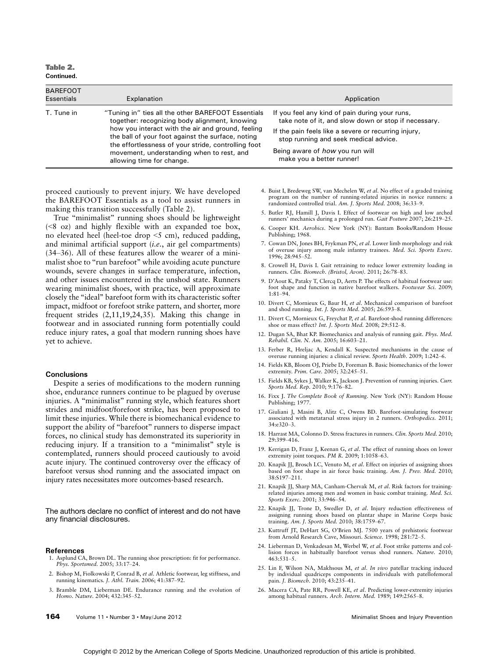Table 2. Continued.

| <b>BAREFOOT</b><br>Essentials | Explanation                                                                                                                                                                                                                                                                                                                                    | Application                                                                                                                                                                                                                                                                    |
|-------------------------------|------------------------------------------------------------------------------------------------------------------------------------------------------------------------------------------------------------------------------------------------------------------------------------------------------------------------------------------------|--------------------------------------------------------------------------------------------------------------------------------------------------------------------------------------------------------------------------------------------------------------------------------|
| T. Tune in                    | "Tuning in" ties all the other BAREFOOT Essentials<br>together: recognizing body alignment, knowing<br>how you interact with the air and ground, feeling<br>the ball of your foot against the surface, noting<br>the effortlessness of your stride, controlling foot<br>movement, understanding when to rest, and<br>allowing time for change. | If you feel any kind of pain during your runs,<br>take note of it, and slow down or stop if necessary.<br>If the pain feels like a severe or recurring injury,<br>stop running and seek medical advice.<br>Being aware of <i>how</i> you run will<br>make you a better runner! |

proceed cautiously to prevent injury. We have developed the BAREFOOT Essentials as a tool to assist runners in making this transition successfully (Table 2).

True ''minimalist'' running shoes should be lightweight  $(\leq 8 \text{ oz})$  and highly flexible with an expanded toe box, no elevated heel (heel-toe drop  $\le$ 5 cm), reduced padding, and minimal artificial support (i.e., air gel compartments)  $(34-36)$ . All of these features allow the wearer of a minimalist shoe to "run barefoot" while avoiding acute puncture wounds, severe changes in surface temperature, infection, and other issues encountered in the unshod state. Runners wearing minimalist shoes, with practice, will approximate closely the ''ideal'' barefoot form with its characteristic softer impact, midfoot or forefoot strike pattern, and shorter, more frequent strides (2,11,19,24,35). Making this change in footwear and in associated running form potentially could reduce injury rates, a goal that modern running shoes have yet to achieve.

#### **Conclusions**

Despite a series of modifications to the modern running shoe, endurance runners continue to be plagued by overuse injuries. A "minimalist" running style, which features short strides and midfoot/forefoot strike, has been proposed to limit these injuries. While there is biomechanical evidence to support the ability of "barefoot" runners to disperse impact forces, no clinical study has demonstrated its superiority in reducing injury. If a transition to a "minimalist" style is contemplated, runners should proceed cautiously to avoid acute injury. The continued controversy over the efficacy of barefoot versus shod running and the associated impact on injury rates necessitates more outcomes-based research.

The authors declare no conflict of interest and do not have any financial disclosures.

#### References

- 1. Asplund CA, Brown DL. The running shoe prescription: fit for performance. Phys. Sportsmed. 2005; 33:17-24.
- 2. Bishop M, Fiolkowski P, Conrad B, et al. Athletic footwear, leg stiffness, and running kinematics. J. Athl. Train. 2006; 41:387-92.
- 3. Bramble DM, Lieberman DE. Endurance running and the evolution of Homo. Nature. 2004; 432:345-52.
- 4. Buist I, Bredeweg SW, van Mechelen W, et al. No effect of a graded training program on the number of running-related injuries in novice runners: a randomized controlled trial. Am. J. Sports Med. 2008; 36:33-9.
- 5. Butler RJ, Hamill J, Davis I. Effect of footwear on high and low arched runners' mechanics during a prolonged run. Gait Posture 2007; 26:219-25.
- 6. Cooper KH. Aerobics. New York (NY): Bantam Books/Random House Publishing; 1968.
- 7. Cowan DN, Jones BH, Frykman PN, et al. Lower limb morphology and risk of overuse injury among male infantry trainees. Med. Sci. Sports Exerc. 1996; 28:945-52.
- 8. Crowell H, Davis I. Gait retraining to reduce lower extremity loading in runners. Clin. Biomech. (Bristol, Avon). 2011; 26:78-83.
- 9. D'Aout K, Pataky T, Clercq D, Aerts P. The effects of habitual footwear use: foot shape and function in native barefoot walkers. Footwear Sci. 2009;  $1:81 - 94.$
- 10. Divert C, Mornieux G, Baur H, et al. Mechanical comparison of barefoot and shod running. Int. J. Sports Med. 2005; 26:593-8.
- 11. Divert C, Mornieux G, Freychat P, et al. Barefoot-shod running differences: shoe or mass effect? Int. J. Sports Med. 2008; 29:512-8.
- 12. Dugan SA, Bhat KP. Biomechanics and analysis of running gait. Phys. Med. Rehabil. Clin. N. Am. 2005; 16:603-21.
- 13. Ferber R, Hreljac A, Kendall K. Suspected mechanisms in the cause of overuse running injuries: a clinical review. Sports Health. 2009; 1:242-6.
- 14. Fields KB, Bloom OJ, Priebe D, Foreman B. Basic biomechanics of the lower extremity. Prim. Care. 2005; 32:245-51.
- 15. Fields KB, Sykes J, Walker K, Jackson J. Prevention of running injuries. Curr. Sports Med. Rep. 2010; 9:176-82.
- 16. Fixx J. The Complete Book of Running. New York (NY): Random House Publishing; 1977
- 17. Giuliani J, Masini B, Alitz C, Owens BD. Barefoot-simulating footwear associated with metatarsal stress injury in 2 runners. Orthopedics. 2011; 34:e320-3.
- 18. Harrast MA, Colonno D. Stress fractures in runners. Clin. Sports Med. 2010; 29:399-416.
- 19. Kerrigan D, Franz J, Keenan G, et al. The effect of running shoes on lower extremity joint torques.  $PM R. 2009; 1:1058-63.$
- 20. Knapik JJ, Brosch LC, Venuto M, et al. Effect on injuries of assigning shoes based on foot shape in air force basic training. Am. J. Prev. Med. 2010; 38:S197-211.
- 21. Knapik JJ, Sharp MA, Canham-Chervak M, et al. Risk factors for trainingrelated injuries among men and women in basic combat training. Med. Sci. Sports Exerc. 2001; 33:946-54.
- 22. Knapik JJ, Trone D, Swedler D, et al. Injury reduction effectiveness of assigning running shoes based on plantar shape in Marine Corps basic training. Am. J. Sports Med. 2010; 38:1759-67
- 23. Kuttruff JT, DeHart SG, O'Brien MJ. 7500 years of prehistoric footwear from Arnold Research Cave, Missouri. Science. 1998; 281:72-5.
- 24. Lieberman D, Venkadesan M, Werbel W, et al. Foot strike patterns and collision forces in habitually barefoot versus shod runners. Nature. 2010; 463:531-5.
- 25. Lin F, Wilson NA, Makhsous M, et al. In vivo patellar tracking induced by individual quadriceps components in individuals with patellofemoral pain. J. Biomech. 2010; 43:235-41.
- 26. Macera CA, Pate RR, Powell KE, et al. Predicting lower-extremity injuries among habitual runners. Arch. Intern. Med. 1989; 149:2565-8.